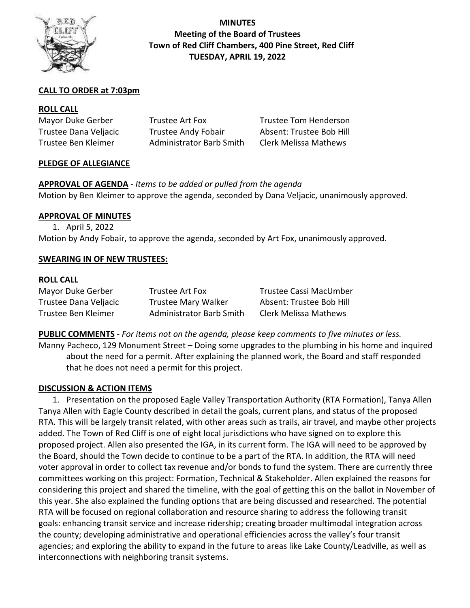

# **MINUTES Meeting of the Board of Trustees Town of Red Cliff Chambers, 400 Pine Street, Red Cliff TUESDAY, APRIL 19, 2022**

# **CALL TO ORDER at 7:03pm**

#### **ROLL CALL**

| Mayor Duke Gerber     | Trustee Art Fox                 | Trustee Tom Henderson        |
|-----------------------|---------------------------------|------------------------------|
| Trustee Dana Veljacic | <b>Trustee Andy Fobair</b>      | Absent: Trustee Bob Hill     |
| Trustee Ben Kleimer   | <b>Administrator Barb Smith</b> | <b>Clerk Melissa Mathews</b> |

#### **PLEDGE OF ALLEGIANCE**

**APPROVAL OF AGENDA** *- Items to be added or pulled from the agenda* Motion by Ben Kleimer to approve the agenda, seconded by Dana Veljacic, unanimously approved.

### **APPROVAL OF MINUTES**

1. April 5, 2022 Motion by Andy Fobair, to approve the agenda, seconded by Art Fox, unanimously approved.

### **SWEARING IN OF NEW TRUSTEES:**

#### **ROLL CALL**

| Mayor Duke Gerber     | Trustee Art Fox                 | Trustee Cassi MacUmber       |
|-----------------------|---------------------------------|------------------------------|
| Trustee Dana Veljacic | <b>Trustee Mary Walker</b>      | Absent: Trustee Bob Hill     |
| Trustee Ben Kleimer   | <b>Administrator Barb Smith</b> | <b>Clerk Melissa Mathews</b> |

**PUBLIC COMMENTS** *- For items not on the agenda, please keep comments to five minutes or less.* Manny Pacheco, 129 Monument Street – Doing some upgrades to the plumbing in his home and inquired about the need for a permit. After explaining the planned work, the Board and staff responded that he does not need a permit for this project.

#### **DISCUSSION & ACTION ITEMS**

1. Presentation on the proposed Eagle Valley Transportation Authority (RTA Formation), Tanya Allen Tanya Allen with Eagle County described in detail the goals, current plans, and status of the proposed RTA. This will be largely transit related, with other areas such as trails, air travel, and maybe other projects added. The Town of Red Cliff is one of eight local jurisdictions who have signed on to explore this proposed project. Allen also presented the IGA, in its current form. The IGA will need to be approved by the Board, should the Town decide to continue to be a part of the RTA. In addition, the RTA will need voter approval in order to collect tax revenue and/or bonds to fund the system. There are currently three committees working on this project: Formation, Technical & Stakeholder. Allen explained the reasons for considering this project and shared the timeline, with the goal of getting this on the ballot in November of this year. She also explained the funding options that are being discussed and researched. The potential RTA will be focused on regional collaboration and resource sharing to address the following transit goals: enhancing transit service and increase ridership; creating broader multimodal integration across the county; developing administrative and operational efficiencies across the valley's four transit agencies; and exploring the ability to expand in the future to areas like Lake County/Leadville, as well as interconnections with neighboring transit systems.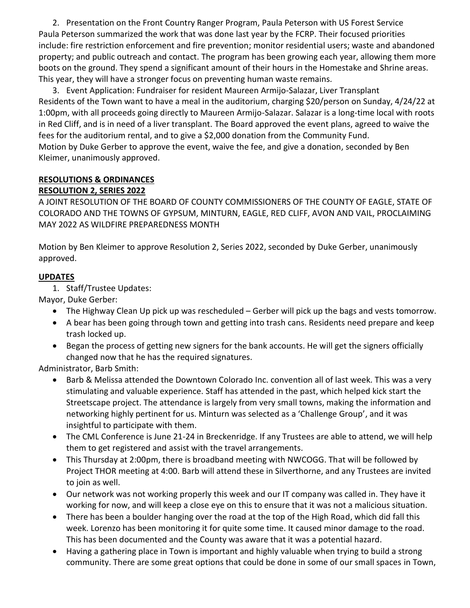2. Presentation on the Front Country Ranger Program, Paula Peterson with US Forest Service Paula Peterson summarized the work that was done last year by the FCRP. Their focused priorities include: fire restriction enforcement and fire prevention; monitor residential users; waste and abandoned property; and public outreach and contact. The program has been growing each year, allowing them more boots on the ground. They spend a significant amount of their hours in the Homestake and Shrine areas. This year, they will have a stronger focus on preventing human waste remains.

3. Event Application: Fundraiser for resident Maureen Armijo-Salazar, Liver Transplant Residents of the Town want to have a meal in the auditorium, charging \$20/person on Sunday, 4/24/22 at 1:00pm, with all proceeds going directly to Maureen Armijo-Salazar. Salazar is a long-time local with roots in Red Cliff, and is in need of a liver transplant. The Board approved the event plans, agreed to waive the fees for the auditorium rental, and to give a \$2,000 donation from the Community Fund. Motion by Duke Gerber to approve the event, waive the fee, and give a donation, seconded by Ben Kleimer, unanimously approved.

#### **RESOLUTIONS & ORDINANCES RESOLUTION 2, SERIES 2022**

A JOINT RESOLUTION OF THE BOARD OF COUNTY COMMISSIONERS OF THE COUNTY OF EAGLE, STATE OF COLORADO AND THE TOWNS OF GYPSUM, MINTURN, EAGLE, RED CLIFF, AVON AND VAIL, PROCLAIMING MAY 2022 AS WILDFIRE PREPAREDNESS MONTH

Motion by Ben Kleimer to approve Resolution 2, Series 2022, seconded by Duke Gerber, unanimously approved.

# **UPDATES**

1. Staff/Trustee Updates:

Mayor, Duke Gerber:

- The Highway Clean Up pick up was rescheduled Gerber will pick up the bags and vests tomorrow.
- A bear has been going through town and getting into trash cans. Residents need prepare and keep trash locked up.
- Began the process of getting new signers for the bank accounts. He will get the signers officially changed now that he has the required signatures.

Administrator, Barb Smith:

- Barb & Melissa attended the Downtown Colorado Inc. convention all of last week. This was a very stimulating and valuable experience. Staff has attended in the past, which helped kick start the Streetscape project. The attendance is largely from very small towns, making the information and networking highly pertinent for us. Minturn was selected as a 'Challenge Group', and it was insightful to participate with them.
- The CML Conference is June 21-24 in Breckenridge. If any Trustees are able to attend, we will help them to get registered and assist with the travel arrangements.
- This Thursday at 2:00pm, there is broadband meeting with NWCOGG. That will be followed by Project THOR meeting at 4:00. Barb will attend these in Silverthorne, and any Trustees are invited to join as well.
- Our network was not working properly this week and our IT company was called in. They have it working for now, and will keep a close eye on this to ensure that it was not a malicious situation.
- There has been a boulder hanging over the road at the top of the High Road, which did fall this week. Lorenzo has been monitoring it for quite some time. It caused minor damage to the road. This has been documented and the County was aware that it was a potential hazard.
- Having a gathering place in Town is important and highly valuable when trying to build a strong community. There are some great options that could be done in some of our small spaces in Town,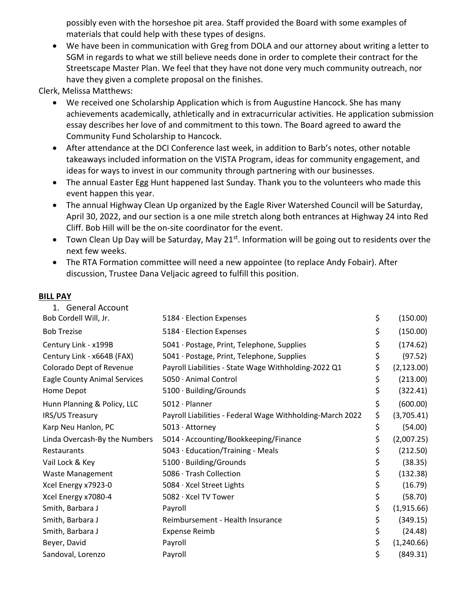possibly even with the horseshoe pit area. Staff provided the Board with some examples of materials that could help with these types of designs.

• We have been in communication with Greg from DOLA and our attorney about writing a letter to SGM in regards to what we still believe needs done in order to complete their contract for the Streetscape Master Plan. We feel that they have not done very much community outreach, nor have they given a complete proposal on the finishes.

Clerk, Melissa Matthews:

- We received one Scholarship Application which is from Augustine Hancock. She has many achievements academically, athletically and in extracurricular activities. He application submission essay describes her love of and commitment to this town. The Board agreed to award the Community Fund Scholarship to Hancock.
- After attendance at the DCI Conference last week, in addition to Barb's notes, other notable takeaways included information on the VISTA Program, ideas for community engagement, and ideas for ways to invest in our community through partnering with our businesses.
- The annual Easter Egg Hunt happened last Sunday. Thank you to the volunteers who made this event happen this year.
- The annual Highway Clean Up organized by the Eagle River Watershed Council will be Saturday, April 30, 2022, and our section is a one mile stretch along both entrances at Highway 24 into Red Cliff. Bob Hill will be the on-site coordinator for the event.
- Town Clean Up Day will be Saturday, May 21<sup>st</sup>. Information will be going out to residents over the next few weeks.
- The RTA Formation committee will need a new appointee (to replace Andy Fobair). After discussion, Trustee Dana Veljacic agreed to fulfill this position.

#### **BILL PAY**

| 1. General Account                  |                                                           |                   |
|-------------------------------------|-----------------------------------------------------------|-------------------|
| Bob Cordell Will, Jr.               | 5184 · Election Expenses                                  | \$<br>(150.00)    |
| <b>Bob Trezise</b>                  | 5184 · Election Expenses                                  | \$<br>(150.00)    |
| Century Link - x199B                | 5041 · Postage, Print, Telephone, Supplies                | \$<br>(174.62)    |
| Century Link - x664B (FAX)          | 5041 · Postage, Print, Telephone, Supplies                | \$<br>(97.52)     |
| Colorado Dept of Revenue            | Payroll Liabilities - State Wage Withholding-2022 Q1      | \$<br>(2, 123.00) |
| <b>Eagle County Animal Services</b> | 5050 · Animal Control                                     | \$<br>(213.00)    |
| Home Depot                          | 5100 · Building/Grounds                                   | \$<br>(322.41)    |
| Hunn Planning & Policy, LLC         | $5012 \cdot$ Planner                                      | \$<br>(600.00)    |
| IRS/US Treasury                     | Payroll Liabilities - Federal Wage Withholding-March 2022 | \$<br>(3,705.41)  |
| Karp Neu Hanlon, PC                 | 5013 · Attorney                                           | \$<br>(54.00)     |
| Linda Overcash-By the Numbers       | 5014 · Accounting/Bookkeeping/Finance                     | \$<br>(2,007.25)  |
| Restaurants                         | 5043 · Education/Training - Meals                         | \$<br>(212.50)    |
| Vail Lock & Key                     | 5100 · Building/Grounds                                   | \$<br>(38.35)     |
| <b>Waste Management</b>             | 5086 · Trash Collection                                   | \$<br>(132.38)    |
| Xcel Energy x7923-0                 | 5084 · Xcel Street Lights                                 | \$<br>(16.79)     |
| Xcel Energy x7080-4                 | 5082 · Xcel TV Tower                                      | \$<br>(58.70)     |
| Smith, Barbara J                    | Payroll                                                   | \$<br>(1,915.66)  |
| Smith, Barbara J                    | Reimbursement - Health Insurance                          | \$<br>(349.15)    |
| Smith, Barbara J                    | <b>Expense Reimb</b>                                      | \$<br>(24.48)     |
| Beyer, David                        | Payroll                                                   | \$<br>(1,240.66)  |
| Sandoval, Lorenzo                   | Payroll                                                   | \$<br>(849.31)    |